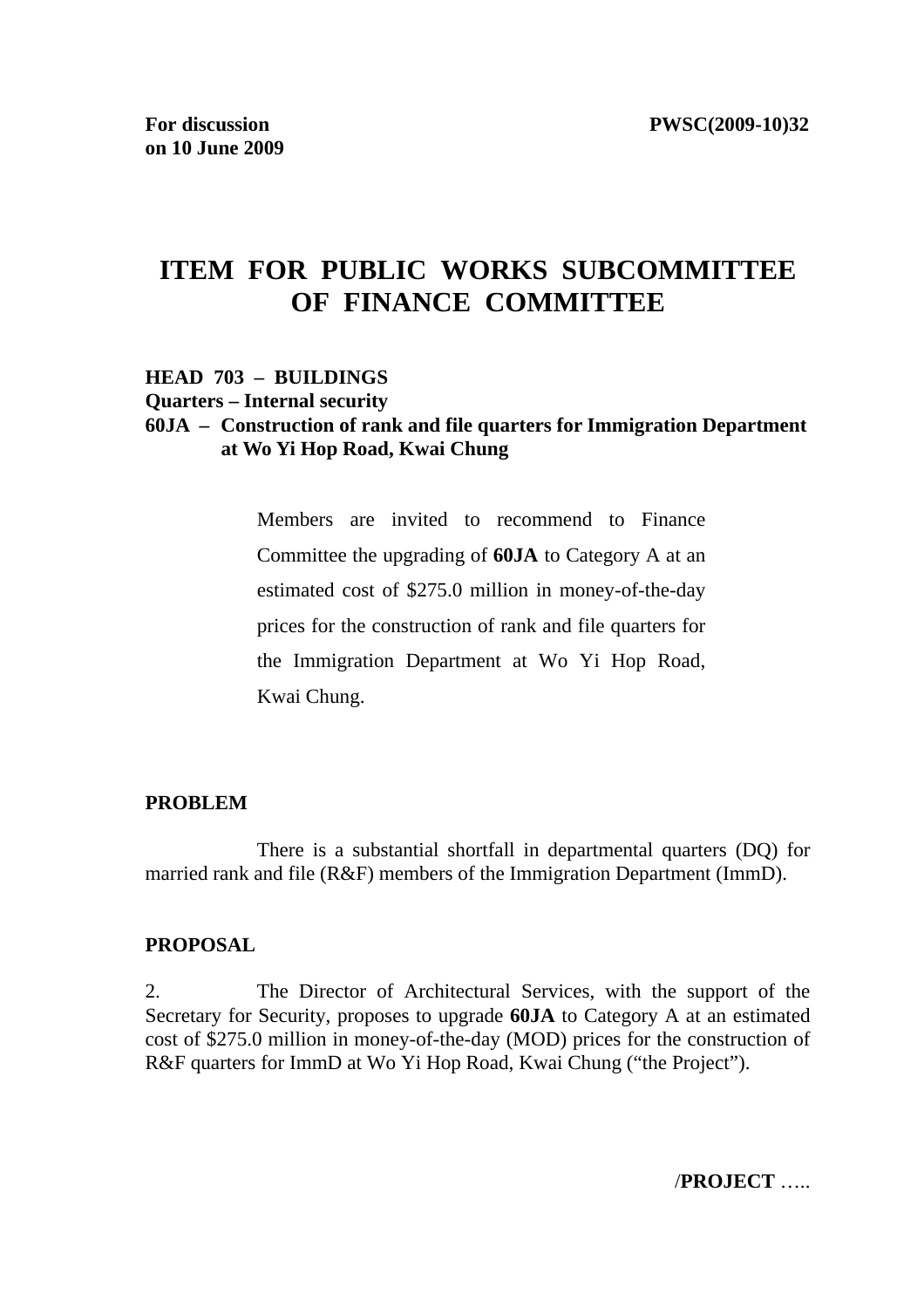# **ITEM FOR PUBLIC WORKS SUBCOMMITTEE OF FINANCE COMMITTEE**

#### **HEAD 703 – BUILDINGS Quarters – Internal security**

### **60JA – Construction of rank and file quarters for Immigration Department at Wo Yi Hop Road, Kwai Chung**

Members are invited to recommend to Finance Committee the upgrading of **60JA** to Category A at an estimated cost of \$275.0 million in money-of-the-day prices for the construction of rank and file quarters for the Immigration Department at Wo Yi Hop Road, Kwai Chung.

#### **PROBLEM**

 There is a substantial shortfall in departmental quarters (DQ) for married rank and file (R&F) members of the Immigration Department (ImmD).

#### **PROPOSAL**

2. The Director of Architectural Services, with the support of the Secretary for Security, proposes to upgrade **60JA** to Category A at an estimated cost of \$275.0 million in money-of-the-day (MOD) prices for the construction of R&F quarters for ImmD at Wo Yi Hop Road, Kwai Chung ("the Project").

/**PROJECT** …..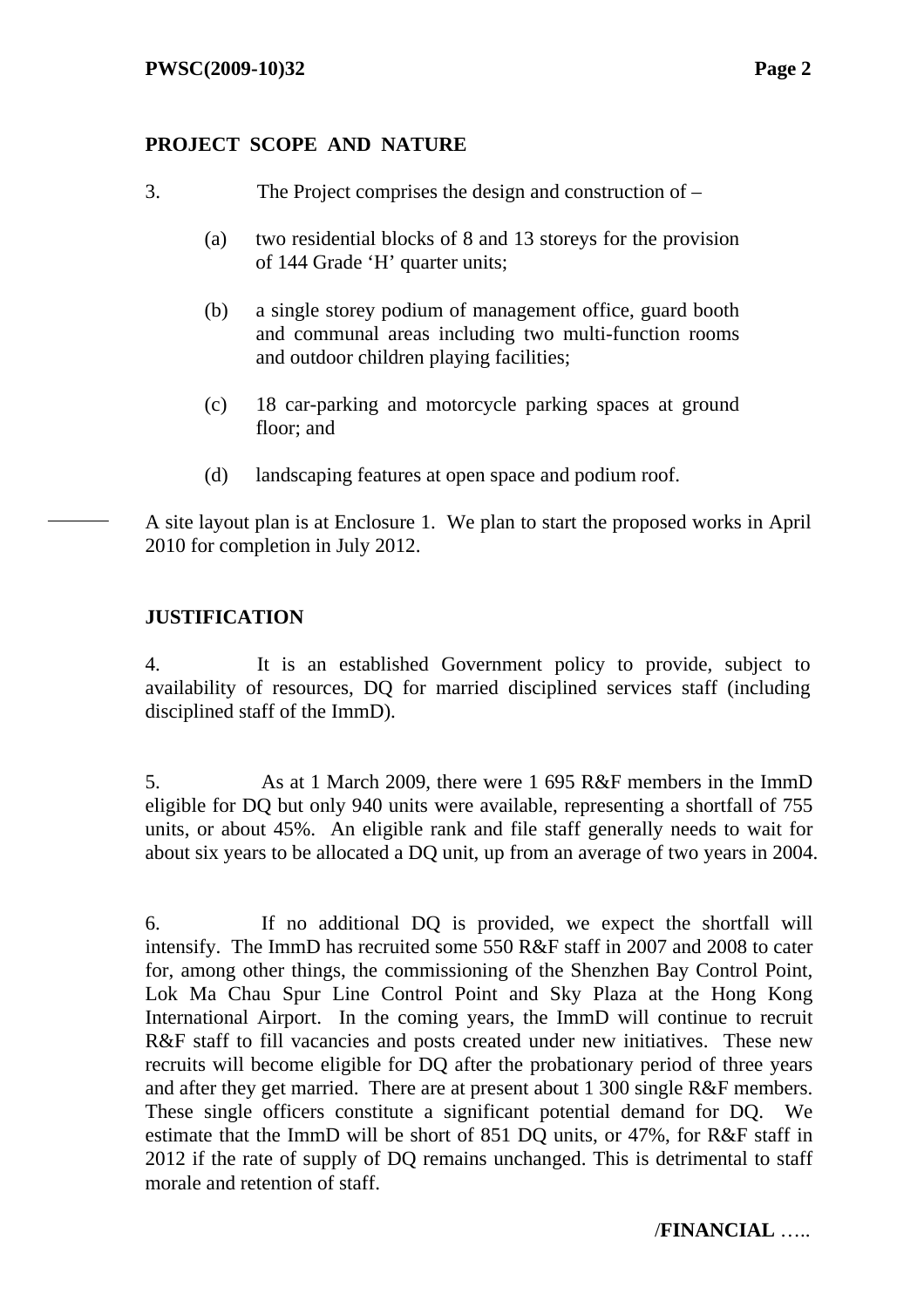## **PROJECT SCOPE AND NATURE**

- 3. The Project comprises the design and construction of
	- (a) two residential blocks of 8 and 13 storeys for the provision of 144 Grade 'H' quarter units;
	- (b) a single storey podium of management office, guard booth and communal areas including two multi-function rooms and outdoor children playing facilities;
	- (c) 18 car-parking and motorcycle parking spaces at ground floor; and
	- (d) landscaping features at open space and podium roof.

A site layout plan is at Enclosure 1. We plan to start the proposed works in April 2010 for completion in July 2012.

## **JUSTIFICATION**

4. It is an established Government policy to provide, subject to availability of resources, DQ for married disciplined services staff (including disciplined staff of the ImmD).

5. As at 1 March 2009, there were 1 695 R&F members in the ImmD eligible for DQ but only 940 units were available, representing a shortfall of 755 units, or about 45%. An eligible rank and file staff generally needs to wait for about six years to be allocated a DQ unit, up from an average of two years in 2004.

6. If no additional DQ is provided, we expect the shortfall will intensify. The ImmD has recruited some 550 R&F staff in 2007 and 2008 to cater for, among other things, the commissioning of the Shenzhen Bay Control Point, Lok Ma Chau Spur Line Control Point and Sky Plaza at the Hong Kong International Airport. In the coming years, the ImmD will continue to recruit R&F staff to fill vacancies and posts created under new initiatives. These new recruits will become eligible for DQ after the probationary period of three years and after they get married. There are at present about 1 300 single R&F members. These single officers constitute a significant potential demand for DQ. We estimate that the ImmD will be short of 851 DQ units, or 47%, for R&F staff in 2012 if the rate of supply of DQ remains unchanged. This is detrimental to staff morale and retention of staff.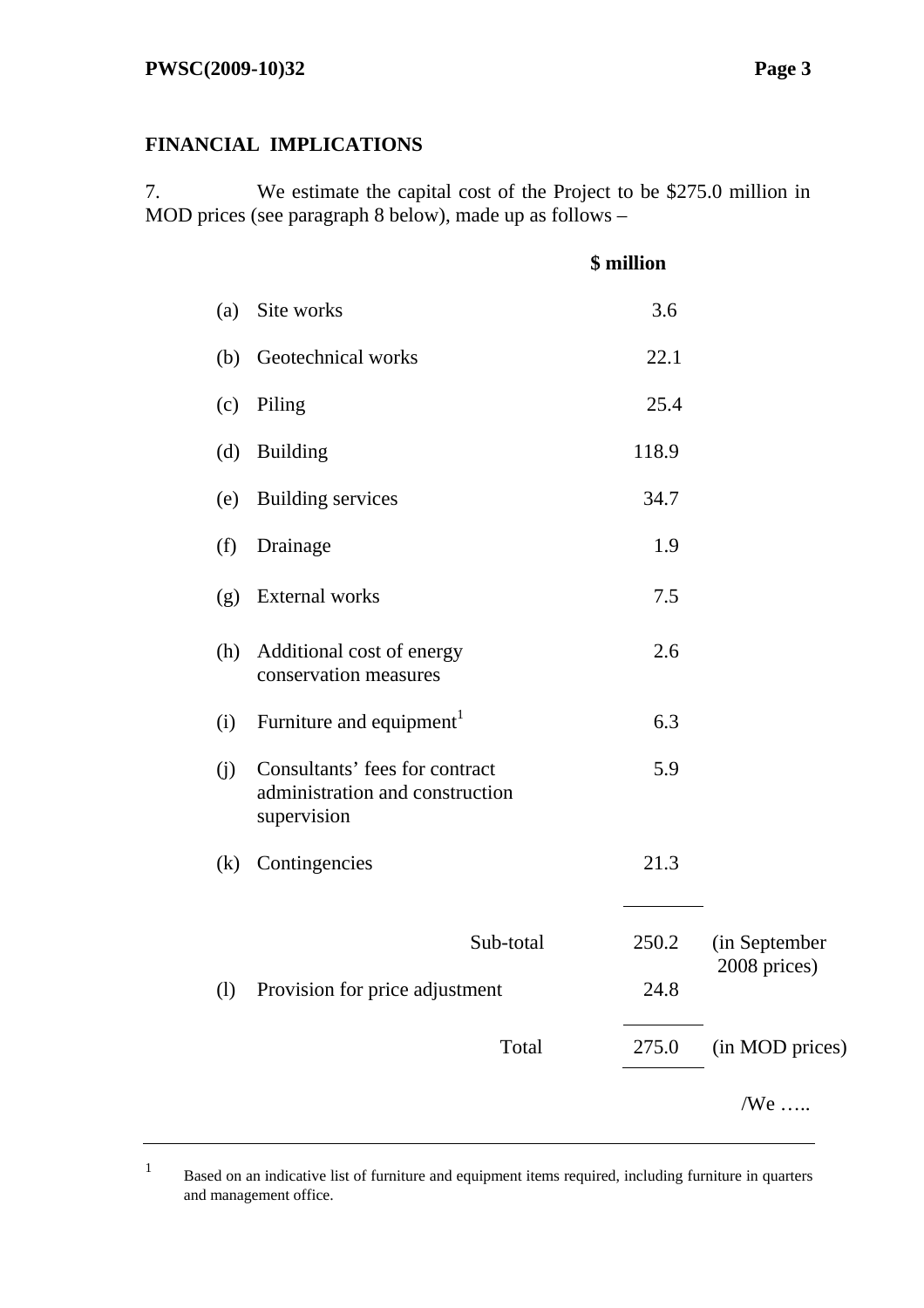1

## **FINANCIAL IMPLICATIONS**

7. We estimate the capital cost of the Project to be \$275.0 million in MOD prices (see paragraph 8 below), made up as follows –

|                            |                                                                                  | \$ million |                               |
|----------------------------|----------------------------------------------------------------------------------|------------|-------------------------------|
| (a)                        | Site works                                                                       | 3.6        |                               |
| (b)                        | Geotechnical works                                                               | 22.1       |                               |
| (c)                        | Piling                                                                           | 25.4       |                               |
| (d)                        | <b>Building</b>                                                                  | 118.9      |                               |
| (e)                        | <b>Building services</b>                                                         | 34.7       |                               |
| (f)                        | Drainage                                                                         | 1.9        |                               |
| (g)                        | External works                                                                   | 7.5        |                               |
|                            | (h) Additional cost of energy<br>conservation measures                           | 2.6        |                               |
| (i)                        | Furniture and equipment <sup>1</sup>                                             | 6.3        |                               |
| (j)                        | Consultants' fees for contract<br>administration and construction<br>supervision | 5.9        |                               |
| (k)                        | Contingencies                                                                    | 21.3       |                               |
|                            | Sub-total                                                                        | 250.2      | (in September<br>2008 prices) |
| $\left( \mathrm{l}\right)$ | Provision for price adjustment                                                   | 24.8       |                               |
|                            | Total                                                                            | 275.0      | (in MOD prices)               |
|                            |                                                                                  |            | $/$ We                        |
|                            |                                                                                  |            |                               |

 Based on an indicative list of furniture and equipment items required, including furniture in quarters and management office.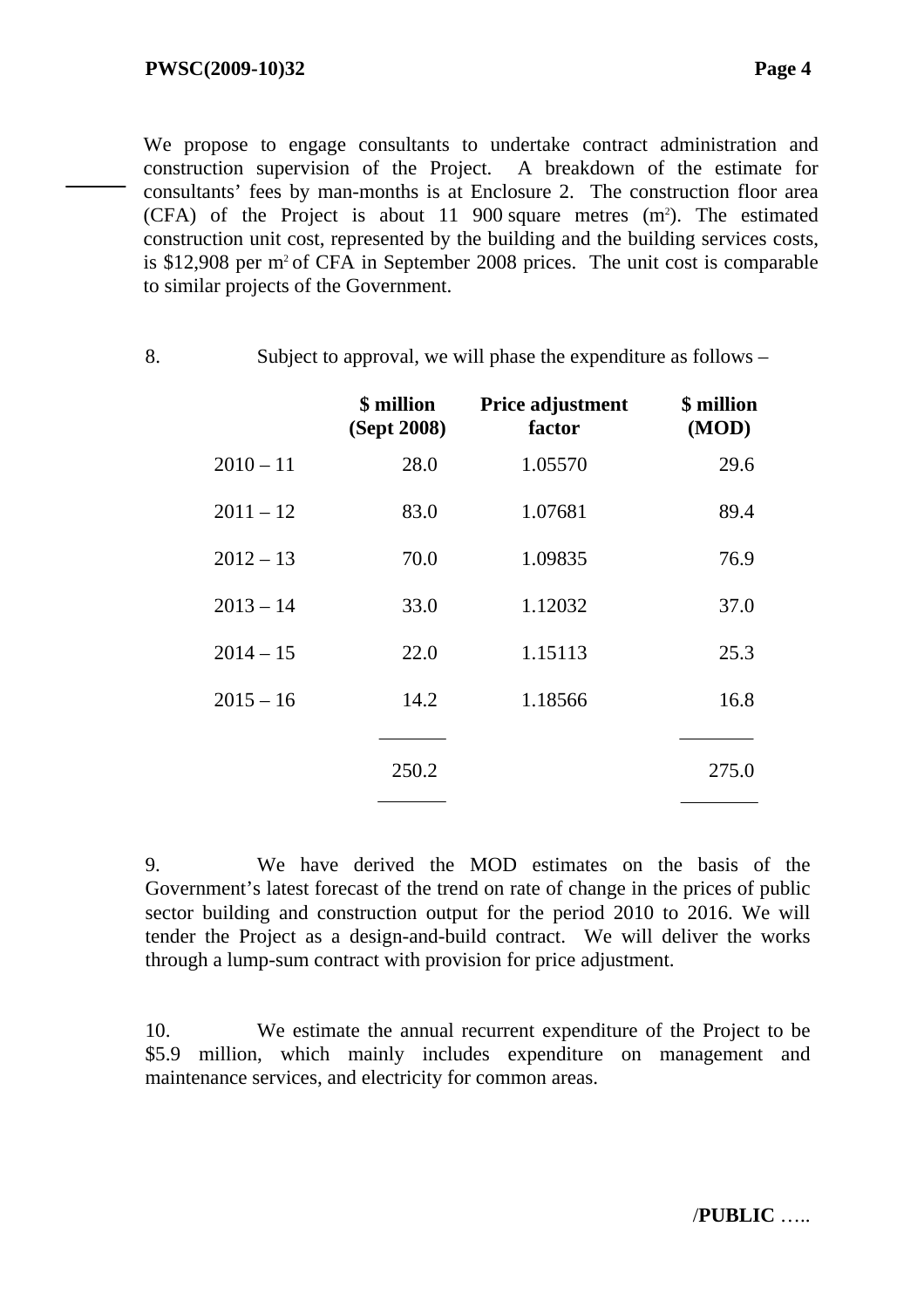We propose to engage consultants to undertake contract administration and construction supervision of the Project. A breakdown of the estimate for consultants' fees by man-months is at Enclosure 2. The construction floor area  $(CFA)$  of the Project is about 11 900 square metres  $(m^2)$ . The estimated construction unit cost, represented by the building and the building services costs, is  $$12,908$  per m<sup>2</sup> of CFA in September 2008 prices. The unit cost is comparable to similar projects of the Government.

8. Subject to approval, we will phase the expenditure as follows –

|             | \$ million<br>(Sept 2008) | Price adjustment<br>factor | \$ million<br>(MOD) |
|-------------|---------------------------|----------------------------|---------------------|
| $2010 - 11$ | 28.0                      | 1.05570                    | 29.6                |
| $2011 - 12$ | 83.0                      | 1.07681                    | 89.4                |
| $2012 - 13$ | 70.0                      | 1.09835                    | 76.9                |
| $2013 - 14$ | 33.0                      | 1.12032                    | 37.0                |
| $2014 - 15$ | 22.0                      | 1.15113                    | 25.3                |
| $2015 - 16$ | 14.2                      | 1.18566                    | 16.8                |
|             |                           |                            |                     |
|             | 250.2                     |                            | 275.0               |

9. We have derived the MOD estimates on the basis of the Government's latest forecast of the trend on rate of change in the prices of public sector building and construction output for the period 2010 to 2016. We will tender the Project as a design-and-build contract. We will deliver the works through a lump-sum contract with provision for price adjustment.

10. We estimate the annual recurrent expenditure of the Project to be \$5.9 million, which mainly includes expenditure on management and maintenance services, and electricity for common areas.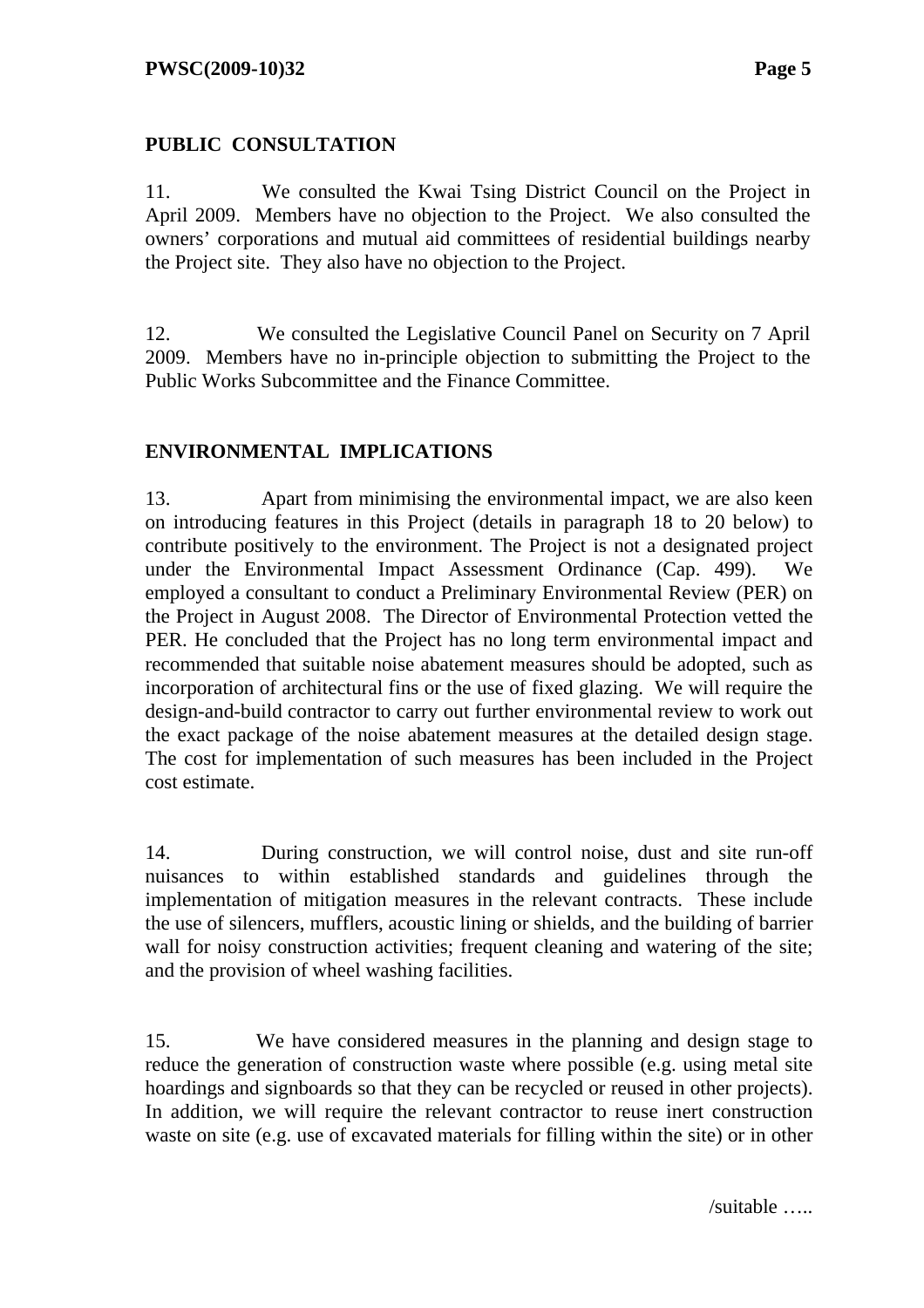### **PUBLIC CONSULTATION**

11. We consulted the Kwai Tsing District Council on the Project in April 2009. Members have no objection to the Project. We also consulted the owners' corporations and mutual aid committees of residential buildings nearby the Project site. They also have no objection to the Project.

12. We consulted the Legislative Council Panel on Security on 7 April 2009. Members have no in-principle objection to submitting the Project to the Public Works Subcommittee and the Finance Committee.

### **ENVIRONMENTAL IMPLICATIONS**

13. Apart from minimising the environmental impact, we are also keen on introducing features in this Project (details in paragraph 18 to 20 below) to contribute positively to the environment. The Project is not a designated project under the Environmental Impact Assessment Ordinance (Cap. 499). We employed a consultant to conduct a Preliminary Environmental Review (PER) on the Project in August 2008. The Director of Environmental Protection vetted the PER. He concluded that the Project has no long term environmental impact and recommended that suitable noise abatement measures should be adopted, such as incorporation of architectural fins or the use of fixed glazing. We will require the design-and-build contractor to carry out further environmental review to work out the exact package of the noise abatement measures at the detailed design stage. The cost for implementation of such measures has been included in the Project cost estimate.

14. During construction, we will control noise, dust and site run-off nuisances to within established standards and guidelines through the implementation of mitigation measures in the relevant contracts. These include the use of silencers, mufflers, acoustic lining or shields, and the building of barrier wall for noisy construction activities; frequent cleaning and watering of the site; and the provision of wheel washing facilities.

15. We have considered measures in the planning and design stage to reduce the generation of construction waste where possible (e.g. using metal site hoardings and signboards so that they can be recycled or reused in other projects). In addition, we will require the relevant contractor to reuse inert construction waste on site (e.g. use of excavated materials for filling within the site) or in other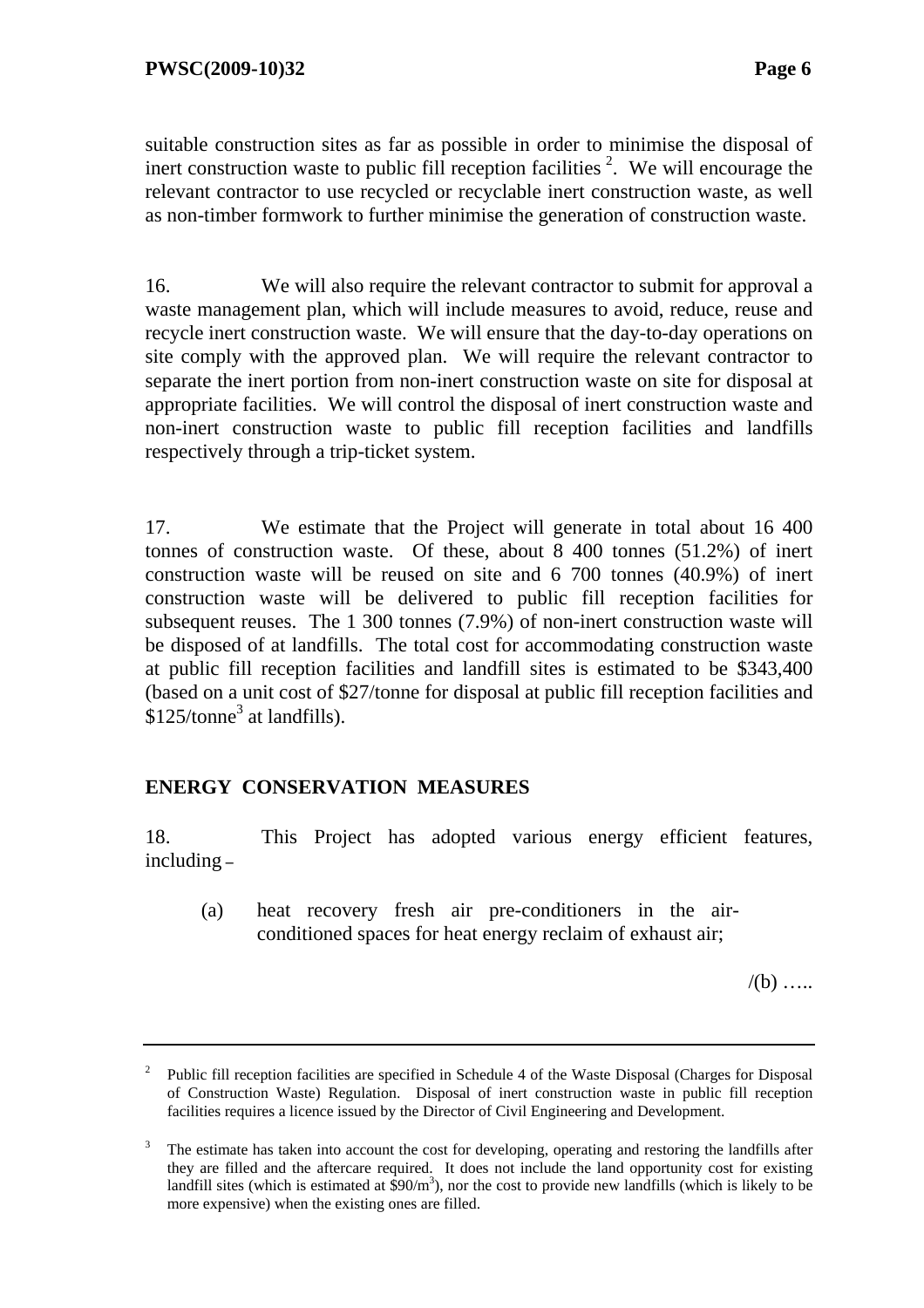suitable construction sites as far as possible in order to minimise the disposal of inert construction waste to public fill reception facilities  $2$ . We will encourage the relevant contractor to use recycled or recyclable inert construction waste, as well as non-timber formwork to further minimise the generation of construction waste.

16. We will also require the relevant contractor to submit for approval a waste management plan, which will include measures to avoid, reduce, reuse and recycle inert construction waste. We will ensure that the day-to-day operations on site comply with the approved plan. We will require the relevant contractor to separate the inert portion from non-inert construction waste on site for disposal at appropriate facilities. We will control the disposal of inert construction waste and non-inert construction waste to public fill reception facilities and landfills respectively through a trip-ticket system.

17. We estimate that the Project will generate in total about 16 400 tonnes of construction waste. Of these, about 8 400 tonnes (51.2%) of inert construction waste will be reused on site and 6 700 tonnes (40.9%) of inert construction waste will be delivered to public fill reception facilities for subsequent reuses. The 1 300 tonnes (7.9%) of non-inert construction waste will be disposed of at landfills. The total cost for accommodating construction waste at public fill reception facilities and landfill sites is estimated to be \$343,400 (based on a unit cost of \$27/tonne for disposal at public fill reception facilities and  $$125$ /tonne<sup>3</sup> at landfills).

### **ENERGY CONSERVATION MEASURES**

18. This Project has adopted various energy efficient features, including **–**

(a) heat recovery fresh air pre-conditioners in the airconditioned spaces for heat energy reclaim of exhaust air;

 $/(b)$  …

<sup>2</sup> Public fill reception facilities are specified in Schedule 4 of the Waste Disposal (Charges for Disposal of Construction Waste) Regulation. Disposal of inert construction waste in public fill reception facilities requires a licence issued by the Director of Civil Engineering and Development.

<sup>&</sup>lt;sup>3</sup> The estimate has taken into account the cost for developing, operating and restoring the landfills after they are filled and the aftercare required. It does not include the land opportunity cost for existing landfill sites (which is estimated at  $\frac{200}{m^3}$ ), nor the cost to provide new landfills (which is likely to be more expensive) when the existing ones are filled.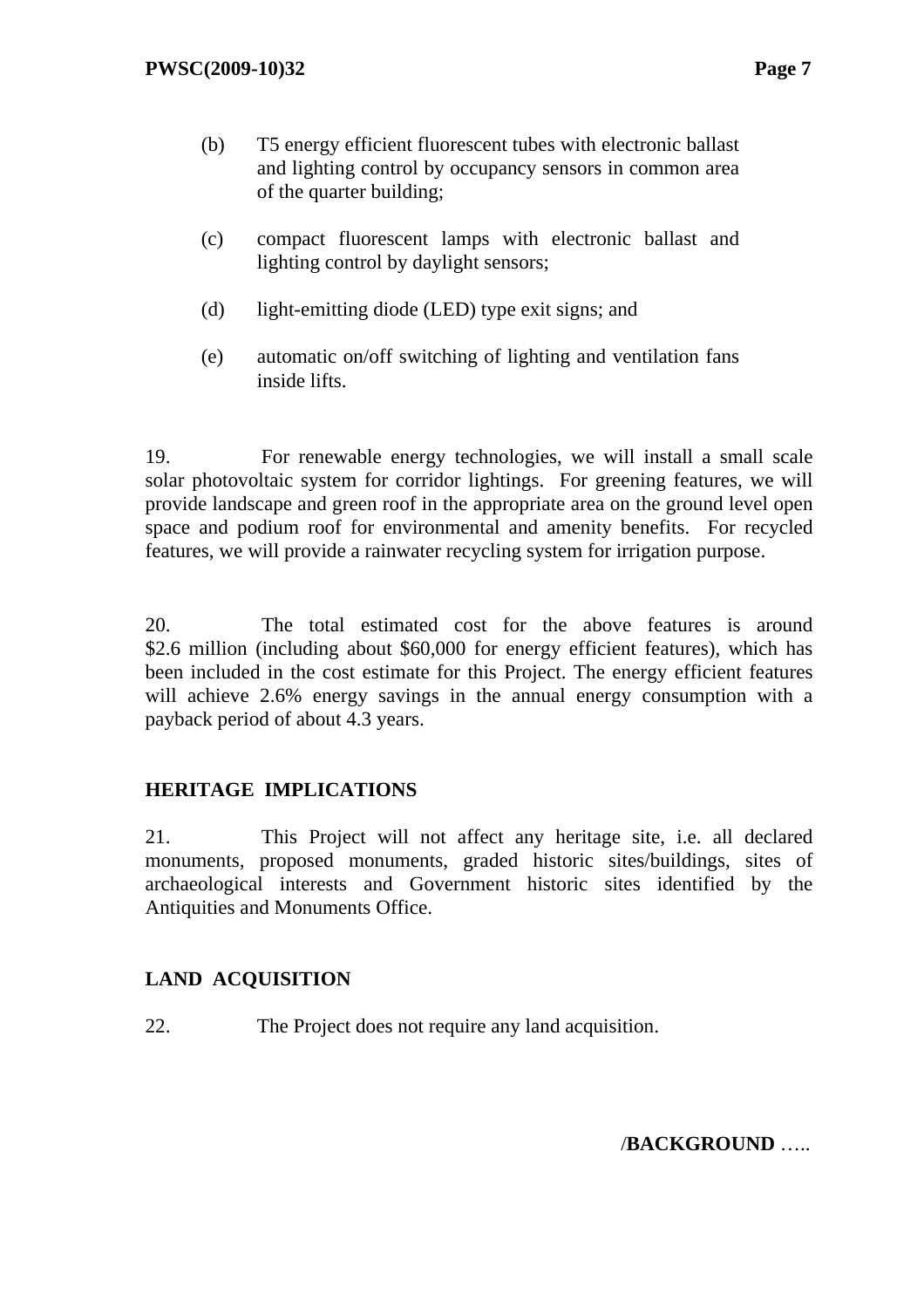- (b) T5 energy efficient fluorescent tubes with electronic ballast and lighting control by occupancy sensors in common area of the quarter building;
- (c) compact fluorescent lamps with electronic ballast and lighting control by daylight sensors;
- (d) light-emitting diode (LED) type exit signs; and
- (e) automatic on/off switching of lighting and ventilation fans inside lifts.

19. For renewable energy technologies, we will install a small scale solar photovoltaic system for corridor lightings. For greening features, we will provide landscape and green roof in the appropriate area on the ground level open space and podium roof for environmental and amenity benefits. For recycled features, we will provide a rainwater recycling system for irrigation purpose.

20. The total estimated cost for the above features is around \$2.6 million (including about \$60,000 for energy efficient features), which has been included in the cost estimate for this Project. The energy efficient features will achieve 2.6% energy savings in the annual energy consumption with a payback period of about 4.3 years.

## **HERITAGE IMPLICATIONS**

21. This Project will not affect any heritage site, i.e. all declared monuments, proposed monuments, graded historic sites/buildings, sites of archaeological interests and Government historic sites identified by the Antiquities and Monuments Office.

## **LAND ACQUISITION**

22. The Project does not require any land acquisition.

/**BACKGROUND** …..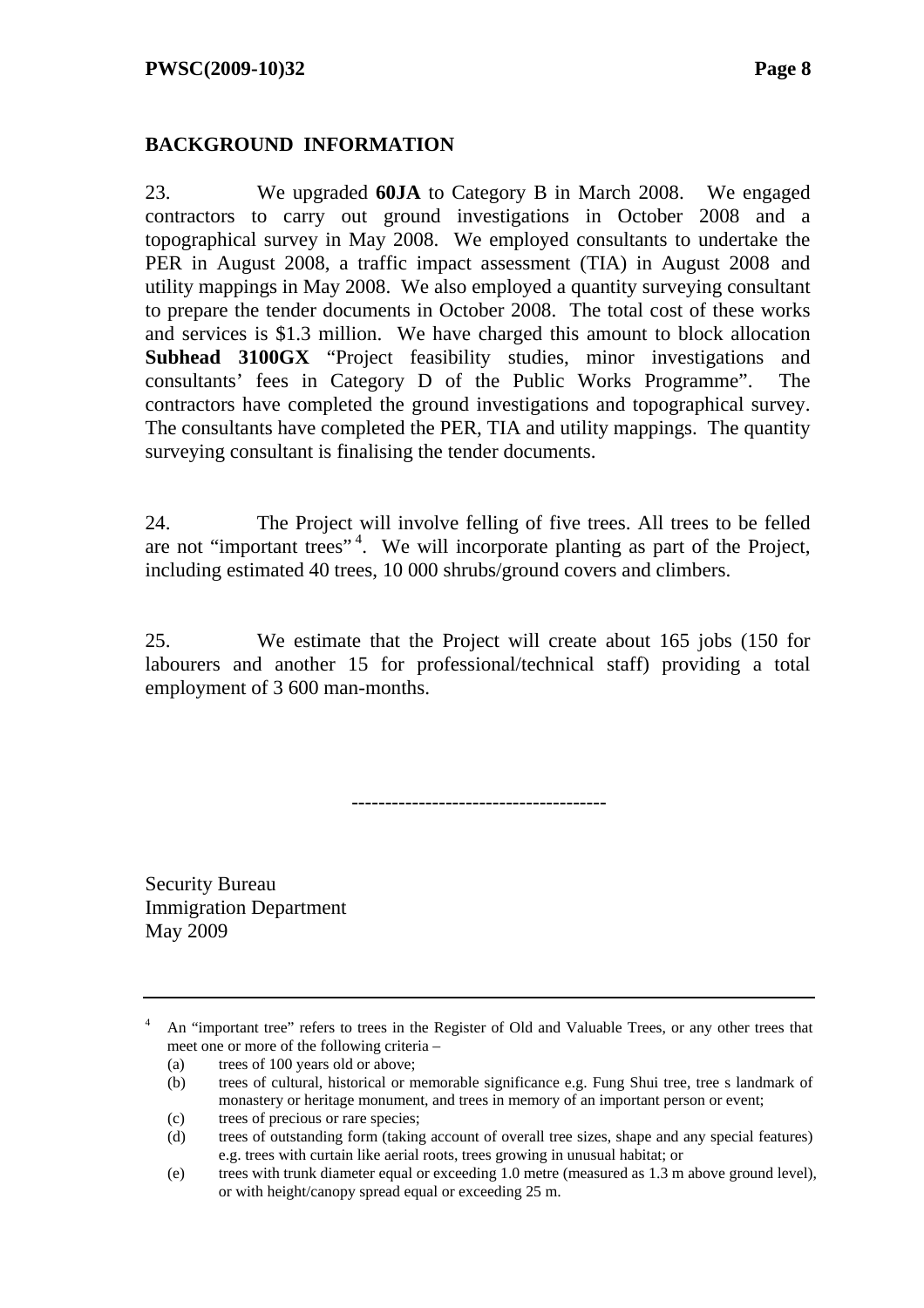### **BACKGROUND INFORMATION**

23. We upgraded **60JA** to Category B in March 2008. We engaged contractors to carry out ground investigations in October 2008 and a topographical survey in May 2008. We employed consultants to undertake the PER in August 2008, a traffic impact assessment (TIA) in August 2008 and utility mappings in May 2008. We also employed a quantity surveying consultant to prepare the tender documents in October 2008. The total cost of these works and services is \$1.3 million. We have charged this amount to block allocation **Subhead 3100GX** "Project feasibility studies, minor investigations and consultants' fees in Category D of the Public Works Programme". The contractors have completed the ground investigations and topographical survey. The consultants have completed the PER, TIA and utility mappings. The quantity surveying consultant is finalising the tender documents.

24. The Project will involve felling of five trees. All trees to be felled are not "important trees"<sup>4</sup>. We will incorporate planting as part of the Project, including estimated 40 trees, 10 000 shrubs/ground covers and climbers.

25. We estimate that the Project will create about 165 jobs (150 for labourers and another 15 for professional/technical staff) providing a total employment of 3 600 man-months.

--------------------------------------

Security Bureau Immigration Department May 2009

<sup>&</sup>lt;sup>4</sup> An "important tree" refers to trees in the Register of Old and Valuable Trees, or any other trees that meet one or more of the following criteria –

<sup>(</sup>a) trees of 100 years old or above;

<sup>(</sup>b) trees of cultural, historical or memorable significance e.g. Fung Shui tree, tree s landmark of monastery or heritage monument, and trees in memory of an important person or event;

<sup>(</sup>c) trees of precious or rare species;

<sup>(</sup>d) trees of outstanding form (taking account of overall tree sizes, shape and any special features) e.g. trees with curtain like aerial roots, trees growing in unusual habitat; or

<sup>(</sup>e) trees with trunk diameter equal or exceeding 1.0 metre (measured as 1.3 m above ground level), or with height/canopy spread equal or exceeding 25 m.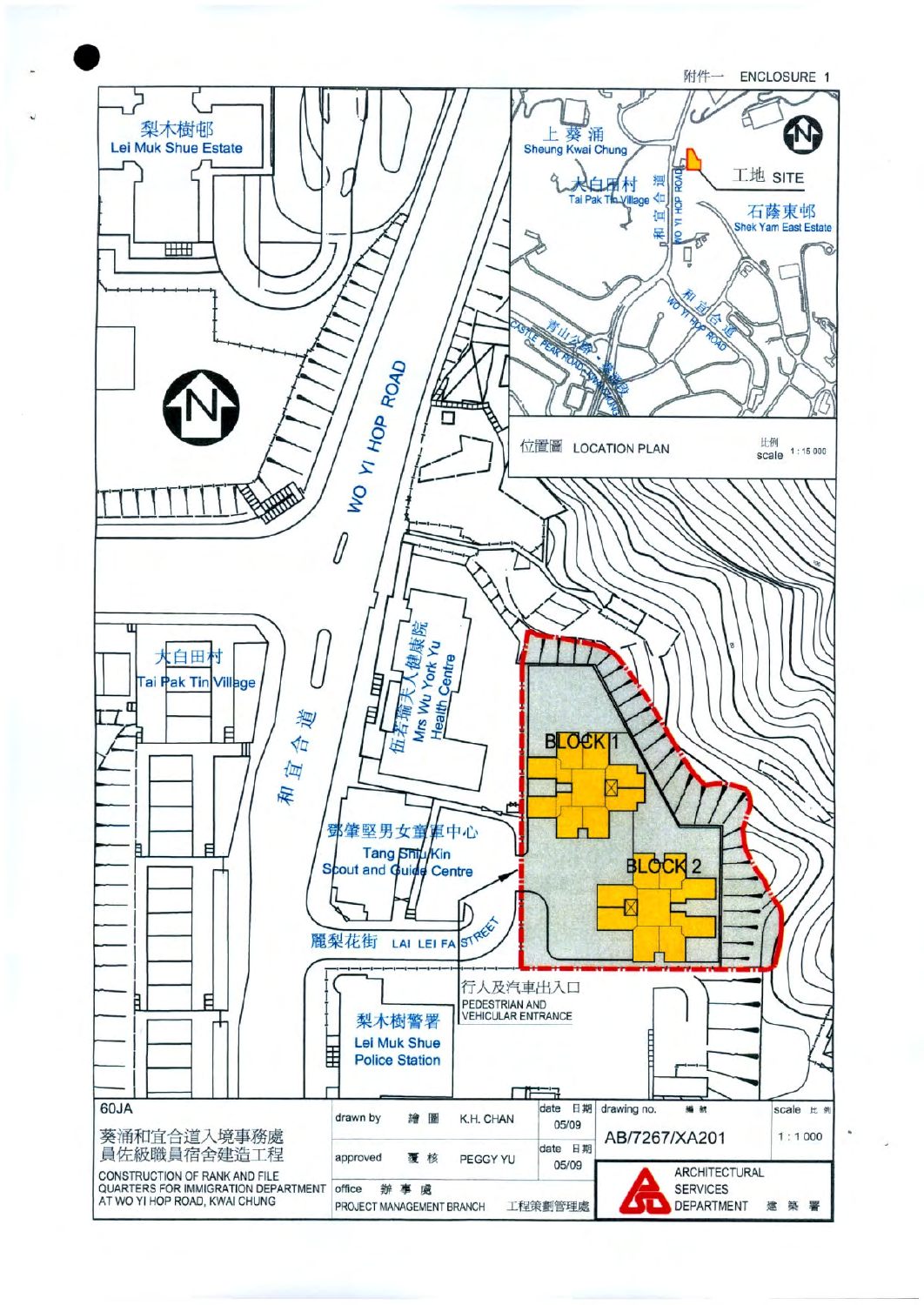